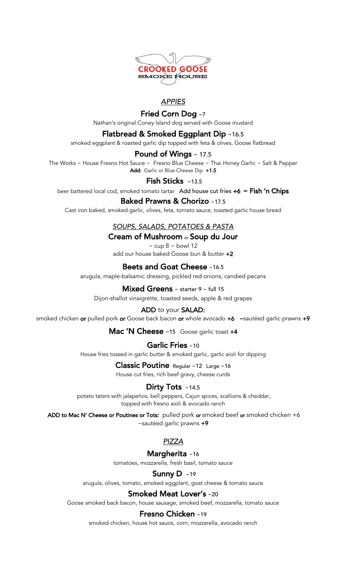

# *APPIES*

# Fried Corn Dog ~7

Nathan's original Coney Island dog served with Goose mustard

# Flatbread & Smoked Eggplant Dip ~16.5

smoked eggplant & roasted garlic dip topped with feta & olives, Goose flatbread

#### Pound of Wings ~ 17.5

The Works ~ House Fresno Hot Sauce ~ Fresno Blue Cheese ~ Thai Honey Garlic ~ Salt & Pepper Add: Garlic or Blue Cheese Dip +1.5

#### Fish Sticks ~13.5

beer battered local cod, smoked tomato tartar Add house cut fries  $+6 =$  Fish 'n Chips

### Baked Prawns & Chorizo ~17.5

Cast iron baked, smoked garlic, olives, feta, tomato sauce, toasted garlic house bread

### *SOUPS, SALADS, POTATOES & PASTA*

### Cream of Mushroom or Soup du Jour

 $\sim$  cup 8  $\sim$  bowl 12 add our house baked Goose bun & butter  $+2$ 

### Beets and Goat Cheese ~16.5

arugula, maple-balsamic dressing, pickled red onions, candied pecans

#### **Mixed Greens**  $\sim$  starter 9  $\sim$  full 15

Dijon-shallot vinaigrette, toasted seeds, apple & red grapes

#### ADD to your SALAD:

smoked chicken or pulled pork or Goose back bacon or whole avocado +6 ~sautéed garlic prawns +9

Mac 'N Cheese ~15 Goose garlic toast +4

#### Garlic Fries ~10

House fries tossed in garlic butter & smoked garlic, garlic aioli for dipping

# Classic Poutine Regular ~12 Large ~16

House cut fries, rich beef gravy, cheese curds

# Dirty Tots ~14.5

potato taters with jalapeños, bell peppers, Cajun spices, scallions & cheddar, topped with fresno aioli & avocado ranch

ADD to Mac N' Cheese or Poutines or Tots: pulled pork or smoked beef or smoked chicken +6 ~sautéed garlic prawns +9

# *PIZZA*

# Margherita ~16

tomatoes, mozzarella, fresh basil, tomato sauce

#### Sunny D ~19

arugula, olives, tomato, smoked eggplant, goat cheese & tomato sauce

#### Smoked Meat Lover's ~20

Goose smoked back bacon, house sausage, smoked beef, mozzarella, tomato sauce

#### Fresno Chicken ~19

smoked chicken, house hot sauce, corn, mozzarella, avocado ranch